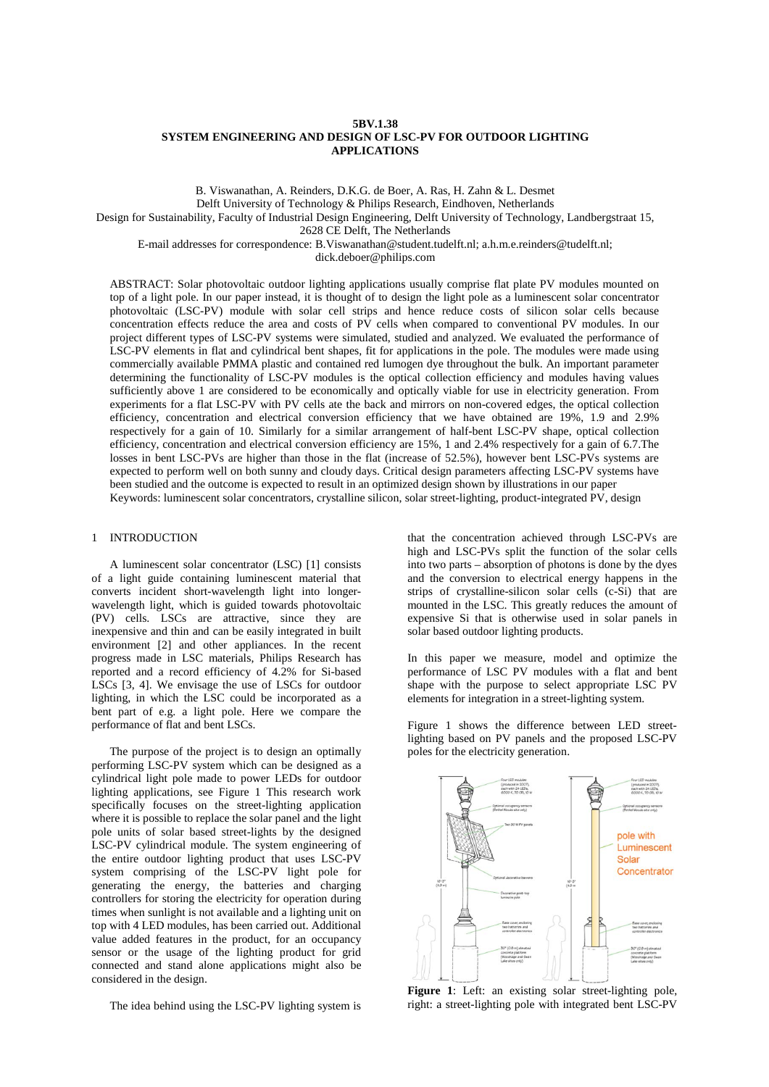## **5BV.1.38 SYSTEM ENGINEERING AND DESIGN OF LSC-PV FOR OUTDOOR LIGHTING APPLICATIONS**

B. Viswanathan, A. Reinders, D.K.G. de Boer, A. Ras, H. Zahn & L. Desmet Delft University of Technology & Philips Research, Eindhoven, Netherlands Design for Sustainability, Faculty of Industrial Design Engineering, Delft University of Technology, Landbergstraat 15, 2628 CE Delft, The Netherlands

E-mail addresses for correspondence: B.Viswanathan@student.tudelft.nl; a.h.m.e.reinders@tudelft.nl;

dick.deboer@philips.com

ABSTRACT: Solar photovoltaic outdoor lighting applications usually comprise flat plate PV modules mounted on top of a light pole. In our paper instead, it is thought of to design the light pole as a luminescent solar concentrator photovoltaic (LSC-PV) module with solar cell strips and hence reduce costs of silicon solar cells because concentration effects reduce the area and costs of PV cells when compared to conventional PV modules. In our project different types of LSC-PV systems were simulated, studied and analyzed. We evaluated the performance of LSC-PV elements in flat and cylindrical bent shapes, fit for applications in the pole. The modules were made using commercially available PMMA plastic and contained red lumogen dye throughout the bulk. An important parameter determining the functionality of LSC-PV modules is the optical collection efficiency and modules having values sufficiently above 1 are considered to be economically and optically viable for use in electricity generation. From experiments for a flat LSC-PV with PV cells ate the back and mirrors on non-covered edges, the optical collection efficiency, concentration and electrical conversion efficiency that we have obtained are 19%, 1.9 and 2.9% respectively for a gain of 10. Similarly for a similar arrangement of half-bent LSC-PV shape, optical collection efficiency, concentration and electrical conversion efficiency are 15%, 1 and 2.4% respectively for a gain of 6.7.The losses in bent LSC-PVs are higher than those in the flat (increase of 52.5%), however bent LSC-PVs systems are expected to perform well on both sunny and cloudy days. Critical design parameters affecting LSC-PV systems have been studied and the outcome is expected to result in an optimized design shown by illustrations in our paper Keywords: luminescent solar concentrators, crystalline silicon, solar street-lighting, product-integrated PV, design

### 1 INTRODUCTION

A luminescent solar concentrator (LSC) [1] consists of a light guide containing luminescent material that converts incident short-wavelength light into longerwavelength light, which is guided towards photovoltaic (PV) cells. LSCs are attractive, since they are inexpensive and thin and can be easily integrated in built environment [2] and other appliances. In the recent progress made in LSC materials, Philips Research has reported and a record efficiency of 4.2% for Si-based LSCs [3, 4]. We envisage the use of LSCs for outdoor lighting, in which the LSC could be incorporated as a bent part of e.g. a light pole. Here we compare the performance of flat and bent LSCs.

The purpose of the project is to design an optimally performing LSC-PV system which can be designed as a cylindrical light pole made to power LEDs for outdoor lighting applications, see Figure 1 This research work specifically focuses on the street-lighting application where it is possible to replace the solar panel and the light pole units of solar based street-lights by the designed LSC-PV cylindrical module. The system engineering of the entire outdoor lighting product that uses LSC-PV system comprising of the LSC-PV light pole for generating the energy, the batteries and charging controllers for storing the electricity for operation during times when sunlight is not available and a lighting unit on top with 4 LED modules, has been carried out. Additional value added features in the product, for an occupancy sensor or the usage of the lighting product for grid connected and stand alone applications might also be considered in the design.

The idea behind using the LSC-PV lighting system is

that the concentration achieved through LSC-PVs are high and LSC-PVs split the function of the solar cells into two parts – absorption of photons is done by the dyes and the conversion to electrical energy happens in the strips of crystalline-silicon solar cells (c-Si) that are mounted in the LSC. This greatly reduces the amount of expensive Si that is otherwise used in solar panels in solar based outdoor lighting products.

In this paper we measure, model and optimize the performance of LSC PV modules with a flat and bent shape with the purpose to select appropriate LSC PV elements for integration in a street-lighting system.

Figure 1 shows the difference between LED streetlighting based on PV panels and the proposed LSC-PV poles for the electricity generation.



**Figure 1**: Left: an existing solar street-lighting pole, right: a street-lighting pole with integrated bent LSC-PV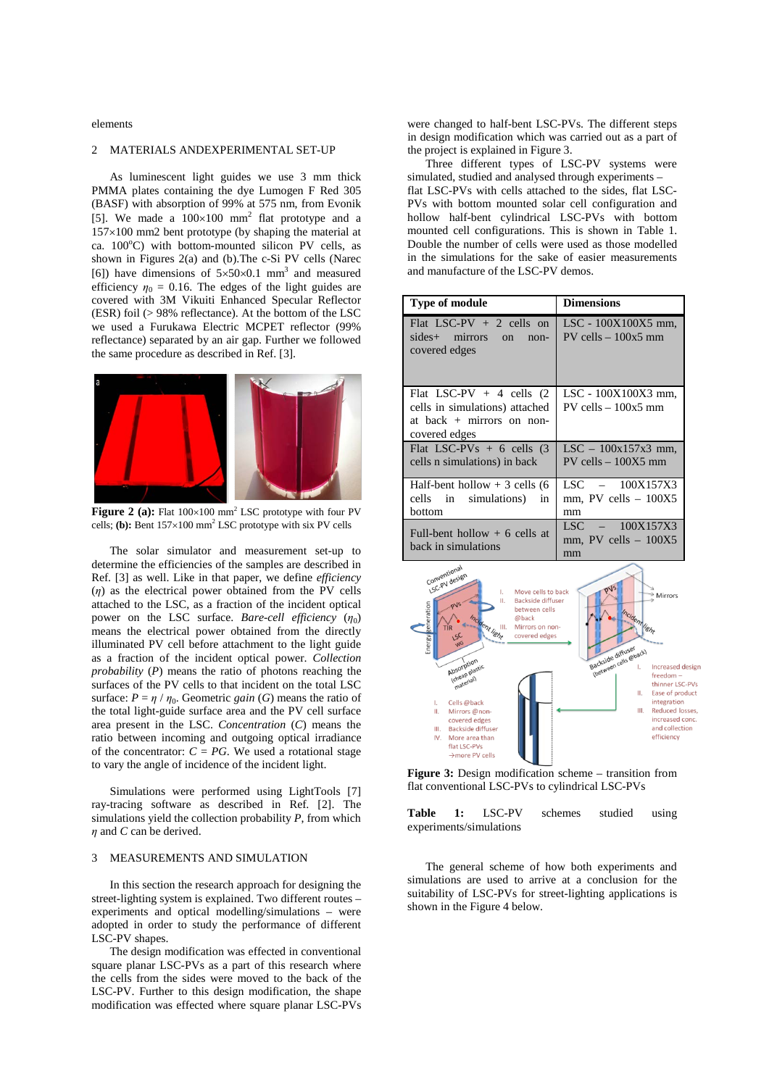elements

# 2 MATERIALS ANDEXPERIMENTAL SET-UP

As luminescent light guides we use 3 mm thick PMMA plates containing the dye Lumogen F Red 305 (BASF) with absorption of 99% at 575 nm, from Evonik [5]. We made a  $100\times100$  mm<sup>2</sup> flat prototype and a 157×100 mm2 bent prototype (by shaping the material at ca.  $100^{\circ}$ C) with bottom-mounted silicon PV cells, as shown in Figures 2(a) and (b).The c-Si PV cells (Narec [6]) have dimensions of  $5 \times 50 \times 0.1$  mm<sup>3</sup> and measured efficiency  $\eta_0 = 0.16$ . The edges of the light guides are covered with 3M Vikuiti Enhanced Specular Reflector (ESR) foil (> 98% reflectance). At the bottom of the LSC we used a Furukawa Electric MCPET reflector (99% reflectance) separated by an air gap. Further we followed the same procedure as described in Ref. [3].



Figure 2 (a): Flat  $100 \times 100$  mm<sup>2</sup> LSC prototype with four PV cells; **(b):** Bent 157×100 mm<sup>2</sup> LSC prototype with six PV cells

The solar simulator and measurement set-up to determine the efficiencies of the samples are described in Ref. [3] as well. Like in that paper, we define *efficiency* (*η*) as the electrical power obtained from the PV cells attached to the LSC, as a fraction of the incident optical power on the LSC surface. *Bare-cell efficiency*  $(\eta_0)$ means the electrical power obtained from the directly illuminated PV cell before attachment to the light guide as a fraction of the incident optical power. *Collection probability* (*P*) means the ratio of photons reaching the surfaces of the PV cells to that incident on the total LSC surface:  $P = \eta / \eta_0$ . Geometric *gain* (*G*) means the ratio of the total light-guide surface area and the PV cell surface area present in the LSC. *Concentration* (*C*) means the ratio between incoming and outgoing optical irradiance of the concentrator:  $C = PG$ . We used a rotational stage to vary the angle of incidence of the incident light.

Simulations were performed using LightTools [7] ray-tracing software as described in Ref. [2]. The simulations yield the collection probability *P*, from which *η* and *C* can be derived.

### 3 MEASUREMENTS AND SIMULATION

In this section the research approach for designing the street-lighting system is explained. Two different routes – experiments and optical modelling/simulations – were adopted in order to study the performance of different LSC-PV shapes.

The design modification was effected in conventional square planar LSC-PVs as a part of this research where the cells from the sides were moved to the back of the LSC-PV. Further to this design modification, the shape modification was effected where square planar LSC-PVs

were changed to half-bent LSC-PVs. The different steps in design modification which was carried out as a part of the project is explained in Figure 3.

Three different types of LSC-PV systems were simulated, studied and analysed through experiments – flat LSC-PVs with cells attached to the sides, flat LSC-PVs with bottom mounted solar cell configuration and hollow half-bent cylindrical LSC-PVs with bottom mounted cell configurations. This is shown in Table 1. Double the number of cells were used as those modelled in the simulations for the sake of easier measurements and manufacture of the LSC-PV demos.

| <b>Type of module</b>                                                                                         | <b>Dimensions</b>                                   |  |  |
|---------------------------------------------------------------------------------------------------------------|-----------------------------------------------------|--|--|
| Flat LSC-PV $+ 2$ cells on<br>sides+ mirrors<br>$_{\rm on}$<br>$non-$<br>covered edges                        | LSC - 100X100X5 mm,<br>$PV$ cells $-100x5$ mm       |  |  |
| Flat LSC-PV $+$ 4 cells (2)<br>cells in simulations) attached<br>at back $+$ mirrors on non-<br>covered edges | LSC - 100X100X3 mm,<br>$PV$ cells $-100x5$ mm       |  |  |
| Flat LSC-PVs $+ 6$ cells (3)<br>cells n simulations) in back                                                  | $LSC - 100x157x3$ mm,<br>$PV$ cells $-100X5$ mm     |  |  |
| Half-bent hollow $+3$ cells (6)<br>cells in simulations)<br>in<br>bottom                                      | LSC - 100X157X3<br>mm, PV cells – 100X5<br>mm       |  |  |
| Full-bent hollow $+$ 6 cells at<br>back in simulations                                                        | $LSC = 100X157X3$<br>$mm$ , PV cells $-100X5$<br>mm |  |  |



Figure 3: Design modification scheme – transition from flat conventional LSC-PVs to cylindrical LSC-PVs

**Table 1:** LSC-PV schemes studied using experiments/simulations

The general scheme of how both experiments and simulations are used to arrive at a conclusion for the suitability of LSC-PVs for street-lighting applications is shown in the Figure 4 below.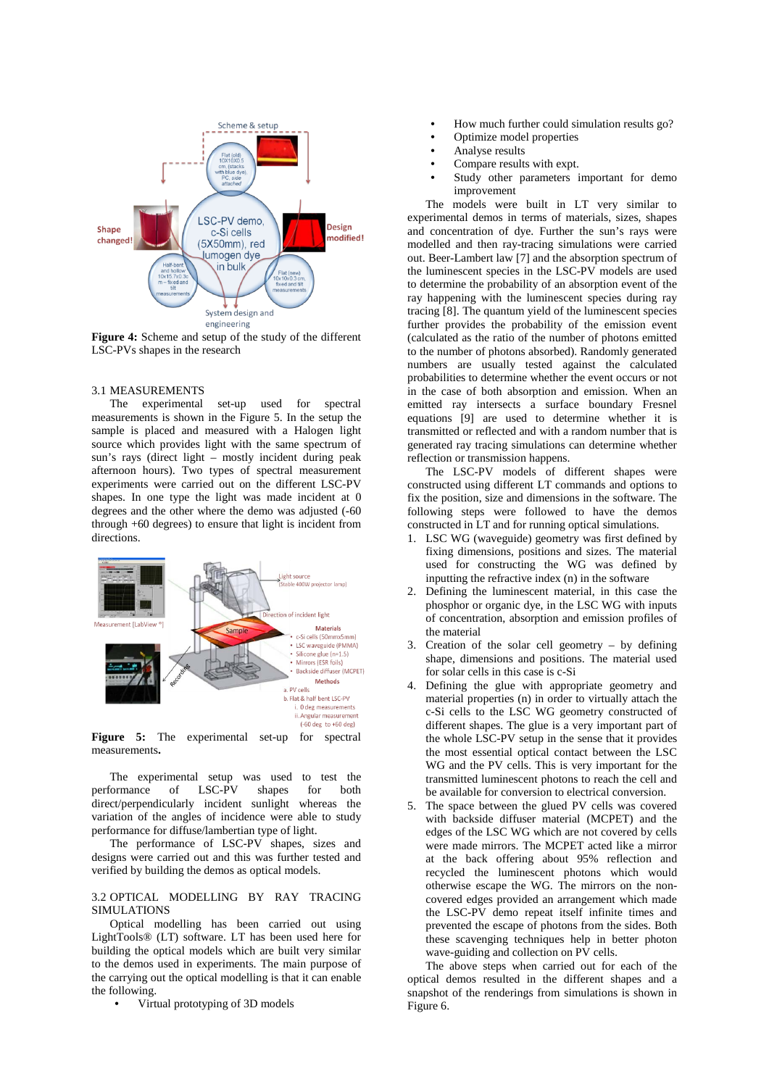

**Figure 4:** Scheme and setup of the study of the different LSC-PVs shapes in the research

### 3.1 MEASUREMENTS

The experimental set-up used for spectral measurements is shown in the Figure 5. In the setup the sample is placed and measured with a Halogen light source which provides light with the same spectrum of sun's rays (direct light – mostly incident during peak afternoon hours). Two types of spectral measurement experiments were carried out on the different LSC-PV shapes. In one type the light was made incident at 0 degrees and the other where the demo was adjusted (-60 through +60 degrees) to ensure that light is incident from directions.



**Figure 5:** The experimental set-up for spectral measurements**.** 

The experimental setup was used to test the<br>
formance of LSC-PV shapes for both performance of LSC-PV shapes for both direct/perpendicularly incident sunlight whereas the variation of the angles of incidence were able to study performance for diffuse/lambertian type of light.

The performance of LSC-PV shapes, sizes and designs were carried out and this was further tested and verified by building the demos as optical models.

## 3.2 OPTICAL MODELLING BY RAY TRACING SIMULATIONS

Optical modelling has been carried out using LightTools® (LT) software. LT has been used here for building the optical models which are built very similar to the demos used in experiments. The main purpose of the carrying out the optical modelling is that it can enable the following.

• Virtual prototyping of 3D models

- How much further could simulation results go?
- Optimize model properties
- Analyse results
- Compare results with expt.
- Study other parameters important for demo improvement

The models were built in LT very similar to experimental demos in terms of materials, sizes, shapes and concentration of dye. Further the sun's rays were modelled and then ray-tracing simulations were carried out. Beer-Lambert law [7] and the absorption spectrum of the luminescent species in the LSC-PV models are used to determine the probability of an absorption event of the ray happening with the luminescent species during ray tracing [8]. The quantum yield of the luminescent species further provides the probability of the emission event (calculated as the ratio of the number of photons emitted to the number of photons absorbed). Randomly generated numbers are usually tested against the calculated probabilities to determine whether the event occurs or not in the case of both absorption and emission. When an emitted ray intersects a surface boundary Fresnel equations [9] are used to determine whether it is transmitted or reflected and with a random number that is generated ray tracing simulations can determine whether reflection or transmission happens.

The LSC-PV models of different shapes were constructed using different LT commands and options to fix the position, size and dimensions in the software. The following steps were followed to have the demos constructed in LT and for running optical simulations.

- 1. LSC WG (waveguide) geometry was first defined by fixing dimensions, positions and sizes. The material used for constructing the WG was defined by inputting the refractive index (n) in the software
- 2. Defining the luminescent material, in this case the phosphor or organic dye, in the LSC WG with inputs of concentration, absorption and emission profiles of the material
- 3. Creation of the solar cell geometry by defining shape, dimensions and positions. The material used for solar cells in this case is c-Si
- 4. Defining the glue with appropriate geometry and material properties (n) in order to virtually attach the c-Si cells to the LSC WG geometry constructed of different shapes. The glue is a very important part of the whole LSC-PV setup in the sense that it provides the most essential optical contact between the LSC WG and the PV cells. This is very important for the transmitted luminescent photons to reach the cell and be available for conversion to electrical conversion.
- 5. The space between the glued PV cells was covered with backside diffuser material (MCPET) and the edges of the LSC WG which are not covered by cells were made mirrors. The MCPET acted like a mirror at the back offering about 95% reflection and recycled the luminescent photons which would otherwise escape the WG. The mirrors on the noncovered edges provided an arrangement which made the LSC-PV demo repeat itself infinite times and prevented the escape of photons from the sides. Both these scavenging techniques help in better photon wave-guiding and collection on PV cells.

The above steps when carried out for each of the optical demos resulted in the different shapes and a snapshot of the renderings from simulations is shown in Figure 6.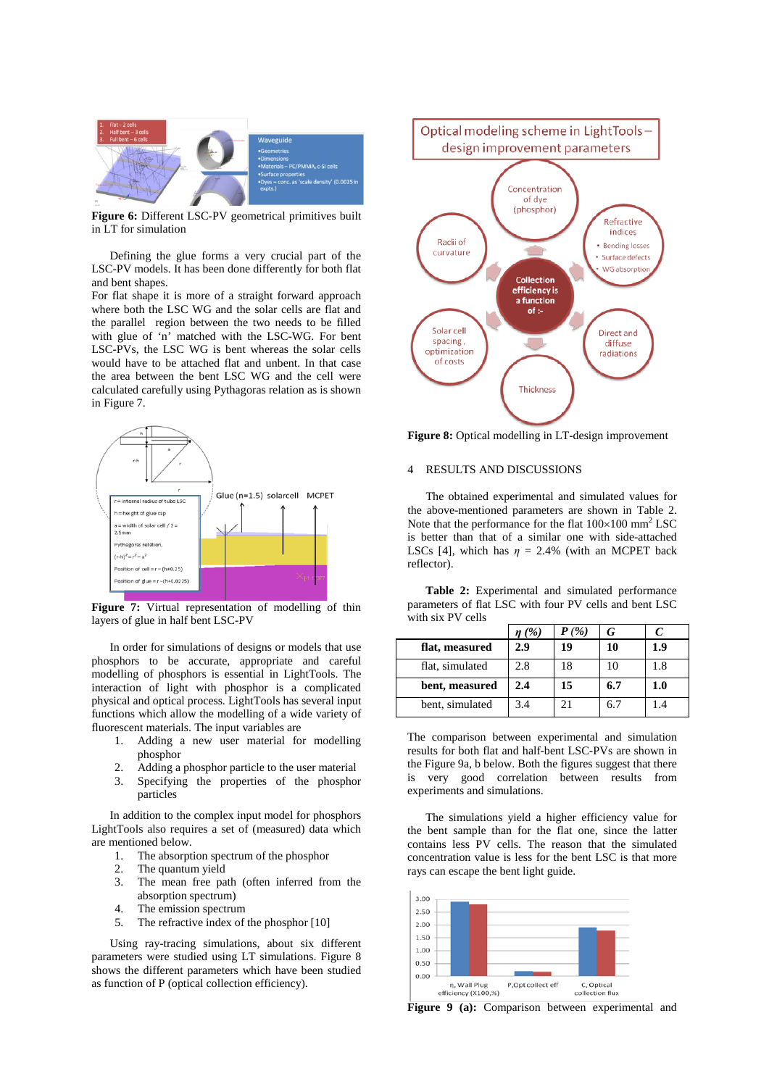

**Figure 6:** Different LSC-PV geometrical primitives built in LT for simulation

Defining the glue forms a very crucial part of the LSC-PV models. It has been done differently for both flat and bent shapes.

For flat shape it is more of a straight forward approach where both the LSC WG and the solar cells are flat and the parallel region between the two needs to be filled with glue of 'n' matched with the LSC-WG. For bent LSC-PVs, the LSC WG is bent whereas the solar cells would have to be attached flat and unbent. In that case the area between the bent LSC WG and the cell were calculated carefully using Pythagoras relation as is shown in Figure 7.



Figure 7: Virtual representation of modelling of thin layers of glue in half bent LSC-PV

In order for simulations of designs or models that use phosphors to be accurate, appropriate and careful modelling of phosphors is essential in LightTools. The interaction of light with phosphor is a complicated physical and optical process. LightTools has several input functions which allow the modelling of a wide variety of fluorescent materials. The input variables are

- 1. Adding a new user material for modelling phosphor
- 
- 2. Adding a phosphor particle to the user material 3. Specifying the properties of the phosphor 3. Specifying the properties of the phosphor particles

In addition to the complex input model for phosphors LightTools also requires a set of (measured) data which are mentioned below.

- 1. The absorption spectrum of the phosphor
- 
- 2. The quantum yield<br>3. The mean free pa The mean free path (often inferred from the absorption spectrum)
- 4. The emission spectrum
- 5. The refractive index of the phosphor [10]

Using ray-tracing simulations, about six different parameters were studied using LT simulations. Figure 8 shows the different parameters which have been studied as function of P (optical collection efficiency).



**Figure 8:** Optical modelling in LT-design improvement

#### 4 RESULTS AND DISCUSSIONS

The obtained experimental and simulated values for the above-mentioned parameters are shown in Table 2. Note that the performance for the flat  $100 \times 100$  mm<sup>2</sup> LSC is better than that of a similar one with side-attached LSCs [4], which has  $\eta = 2.4\%$  (with an MCPET back reflector).

**Table 2:** Experimental and simulated performance parameters of flat LSC with four PV cells and bent LSC with six PV cells

|                 | $\eta$ (%) | $P(\% )$ |     |         |
|-----------------|------------|----------|-----|---------|
| flat, measured  | 2.9        | 19       |     | 1.9     |
| flat, simulated | 2.8        | 18       |     | 1.8     |
| bent, measured  | 2.4        | 15       | 6.7 | $1.0\,$ |
| bent, simulated | 3.4        |          | 6.7 |         |

The comparison between experimental and simulation results for both flat and half-bent LSC-PVs are shown in the Figure 9a, b below. Both the figures suggest that there is very good correlation between results from experiments and simulations.

The simulations yield a higher efficiency value for the bent sample than for the flat one, since the latter contains less PV cells. The reason that the simulated concentration value is less for the bent LSC is that more rays can escape the bent light guide.



**Figure 9 (a):** Comparison between experimental and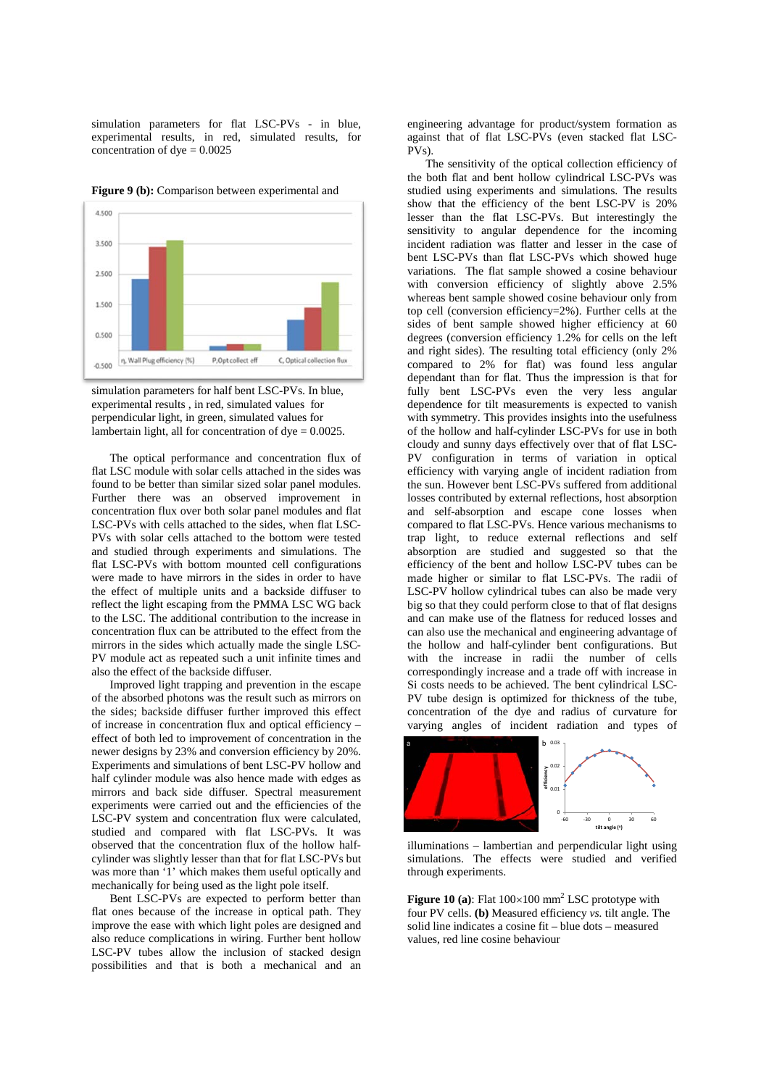simulation parameters for flat LSC-PVs - in blue, experimental results, in red, simulated results, for concentration of  $dye = 0.0025$ 

**Figure 9 (b):** Comparison between experimental and



simulation parameters for half bent LSC-PVs. In blue, experimental results , in red, simulated values for perpendicular light, in green, simulated values for lambertain light, all for concentration of  $\text{dye} = 0.0025$ .

The optical performance and concentration flux of flat LSC module with solar cells attached in the sides was found to be better than similar sized solar panel modules. Further there was an observed improvement in concentration flux over both solar panel modules and flat LSC-PVs with cells attached to the sides, when flat LSC-PVs with solar cells attached to the bottom were tested and studied through experiments and simulations. The flat LSC-PVs with bottom mounted cell configurations were made to have mirrors in the sides in order to have the effect of multiple units and a backside diffuser to reflect the light escaping from the PMMA LSC WG back to the LSC. The additional contribution to the increase in concentration flux can be attributed to the effect from the mirrors in the sides which actually made the single LSC-PV module act as repeated such a unit infinite times and also the effect of the backside diffuser.

Improved light trapping and prevention in the escape of the absorbed photons was the result such as mirrors on the sides; backside diffuser further improved this effect of increase in concentration flux and optical efficiency – effect of both led to improvement of concentration in the newer designs by 23% and conversion efficiency by 20%. Experiments and simulations of bent LSC-PV hollow and half cylinder module was also hence made with edges as mirrors and back side diffuser. Spectral measurement experiments were carried out and the efficiencies of the LSC-PV system and concentration flux were calculated, studied and compared with flat LSC-PVs. It was observed that the concentration flux of the hollow halfcylinder was slightly lesser than that for flat LSC-PVs but was more than '1' which makes them useful optically and mechanically for being used as the light pole itself.

Bent LSC-PVs are expected to perform better than flat ones because of the increase in optical path. They improve the ease with which light poles are designed and also reduce complications in wiring. Further bent hollow LSC-PV tubes allow the inclusion of stacked design possibilities and that is both a mechanical and an

engineering advantage for product/system formation as against that of flat LSC-PVs (even stacked flat LSC-PVs).

The sensitivity of the optical collection efficiency of the both flat and bent hollow cylindrical LSC-PVs was studied using experiments and simulations. The results show that the efficiency of the bent LSC-PV is 20% lesser than the flat LSC-PVs. But interestingly the sensitivity to angular dependence for the incoming incident radiation was flatter and lesser in the case of bent LSC-PVs than flat LSC-PVs which showed huge variations. The flat sample showed a cosine behaviour with conversion efficiency of slightly above 2.5% whereas bent sample showed cosine behaviour only from top cell (conversion efficiency=2%). Further cells at the sides of bent sample showed higher efficiency at 60 degrees (conversion efficiency 1.2% for cells on the left and right sides). The resulting total efficiency (only 2% compared to 2% for flat) was found less angular dependant than for flat. Thus the impression is that for fully bent LSC-PVs even the very less angular dependence for tilt measurements is expected to vanish with symmetry. This provides insights into the usefulness of the hollow and half-cylinder LSC-PVs for use in both cloudy and sunny days effectively over that of flat LSC-PV configuration in terms of variation in optical efficiency with varying angle of incident radiation from the sun. However bent LSC-PVs suffered from additional losses contributed by external reflections, host absorption and self-absorption and escape cone losses when compared to flat LSC-PVs. Hence various mechanisms to trap light, to reduce external reflections and self absorption are studied and suggested so that the efficiency of the bent and hollow LSC-PV tubes can be made higher or similar to flat LSC-PVs. The radii of LSC-PV hollow cylindrical tubes can also be made very big so that they could perform close to that of flat designs and can make use of the flatness for reduced losses and can also use the mechanical and engineering advantage of the hollow and half-cylinder bent configurations. But with the increase in radii the number of cells correspondingly increase and a trade off with increase in Si costs needs to be achieved. The bent cylindrical LSC-PV tube design is optimized for thickness of the tube, concentration of the dye and radius of curvature for varying angles of incident radiation and types of



illuminations – lambertian and perpendicular light using simulations. The effects were studied and verified through experiments.

**Figure 10 (a):** Flat  $100 \times 100$  mm<sup>2</sup> LSC prototype with four PV cells. **(b)** Measured efficiency *vs.* tilt angle. The solid line indicates a cosine fit – blue dots – measured values, red line cosine behaviour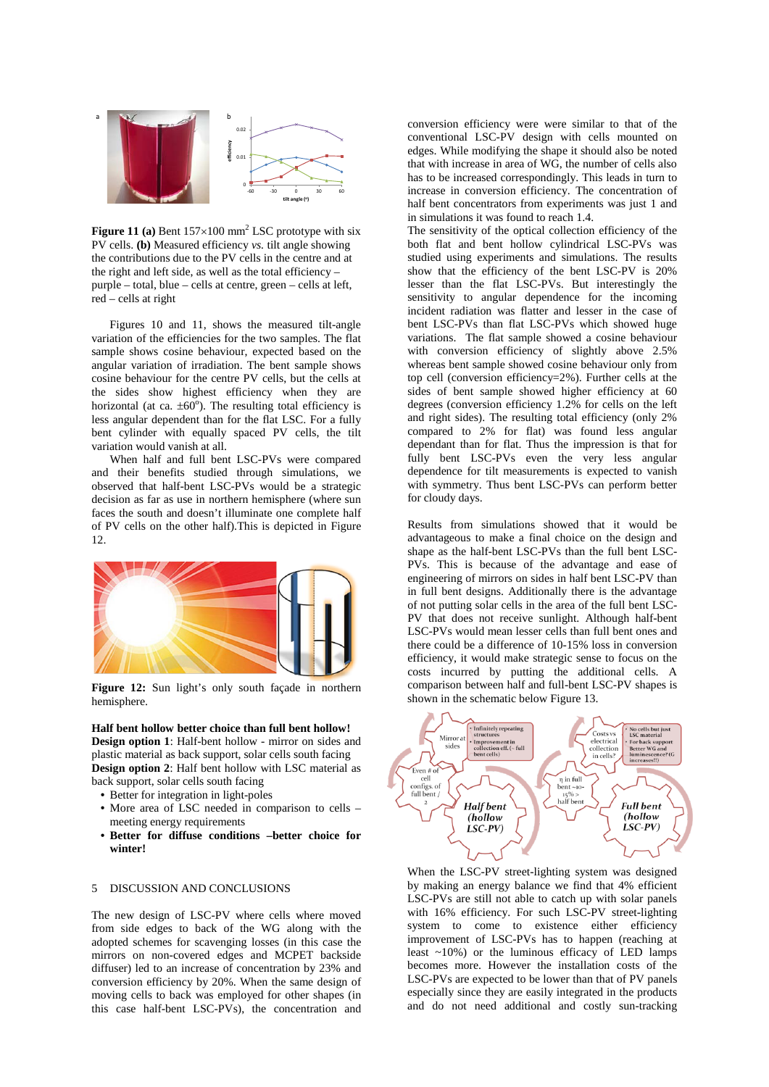

**Figure 11 (a)** Bent  $157 \times 100$  mm<sup>2</sup> LSC prototype with six PV cells. **(b)** Measured efficiency *vs.* tilt angle showing the contributions due to the PV cells in the centre and at the right and left side, as well as the total efficiency – purple – total, blue – cells at centre, green – cells at left, red – cells at right

Figures 10 and 11, shows the measured tilt-angle variation of the efficiencies for the two samples. The flat sample shows cosine behaviour, expected based on the angular variation of irradiation. The bent sample shows cosine behaviour for the centre PV cells, but the cells at the sides show highest efficiency when they are horizontal (at ca.  $\pm 60^{\circ}$ ). The resulting total efficiency is less angular dependent than for the flat LSC. For a fully bent cylinder with equally spaced PV cells, the tilt variation would vanish at all.

When half and full bent LSC-PVs were compared and their benefits studied through simulations, we observed that half-bent LSC-PVs would be a strategic decision as far as use in northern hemisphere (where sun faces the south and doesn't illuminate one complete half of PV cells on the other half).This is depicted in Figure 12.



Figure 12: Sun light's only south façade in northern hemisphere.

**Half bent hollow better choice than full bent hollow! Design option 1**: Half-bent hollow - mirror on sides and plastic material as back support, solar cells south facing **Design option 2**: Half bent hollow with LSC material as back support, solar cells south facing

- Better for integration in light-poles
- More area of LSC needed in comparison to cells meeting energy requirements
- **Better for diffuse conditions –better choice for winter!**

## 5 DISCUSSION AND CONCLUSIONS

The new design of LSC-PV where cells where moved from side edges to back of the WG along with the adopted schemes for scavenging losses (in this case the mirrors on non-covered edges and MCPET backside diffuser) led to an increase of concentration by 23% and conversion efficiency by 20%. When the same design of moving cells to back was employed for other shapes (in this case half-bent LSC-PVs), the concentration and

conversion efficiency were were similar to that of the conventional LSC-PV design with cells mounted on edges. While modifying the shape it should also be noted that with increase in area of WG, the number of cells also has to be increased correspondingly. This leads in turn to increase in conversion efficiency. The concentration of half bent concentrators from experiments was just 1 and in simulations it was found to reach 1.4.

The sensitivity of the optical collection efficiency of the both flat and bent hollow cylindrical LSC-PVs was studied using experiments and simulations. The results show that the efficiency of the bent LSC-PV is 20% lesser than the flat LSC-PVs. But interestingly the sensitivity to angular dependence for the incoming incident radiation was flatter and lesser in the case of bent LSC-PVs than flat LSC-PVs which showed huge variations. The flat sample showed a cosine behaviour with conversion efficiency of slightly above 2.5% whereas bent sample showed cosine behaviour only from top cell (conversion efficiency=2%). Further cells at the sides of bent sample showed higher efficiency at 60 degrees (conversion efficiency 1.2% for cells on the left and right sides). The resulting total efficiency (only 2% compared to 2% for flat) was found less angular dependant than for flat. Thus the impression is that for fully bent LSC-PVs even the very less angular dependence for tilt measurements is expected to vanish with symmetry. Thus bent LSC-PVs can perform better for cloudy days.

Results from simulations showed that it would be advantageous to make a final choice on the design and shape as the half-bent LSC-PVs than the full bent LSC-PVs. This is because of the advantage and ease of engineering of mirrors on sides in half bent LSC-PV than in full bent designs. Additionally there is the advantage of not putting solar cells in the area of the full bent LSC-PV that does not receive sunlight. Although half-bent LSC-PVs would mean lesser cells than full bent ones and there could be a difference of 10-15% loss in conversion efficiency, it would make strategic sense to focus on the costs incurred by putting the additional cells. A comparison between half and full-bent LSC-PV shapes is shown in the schematic below Figure 13.



When the LSC-PV street-lighting system was designed by making an energy balance we find that 4% efficient LSC-PVs are still not able to catch up with solar panels with 16% efficiency. For such LSC-PV street-lighting system to come to existence either efficiency improvement of LSC-PVs has to happen (reaching at least ~10%) or the luminous efficacy of LED lamps becomes more. However the installation costs of the LSC-PVs are expected to be lower than that of PV panels especially since they are easily integrated in the products and do not need additional and costly sun-tracking